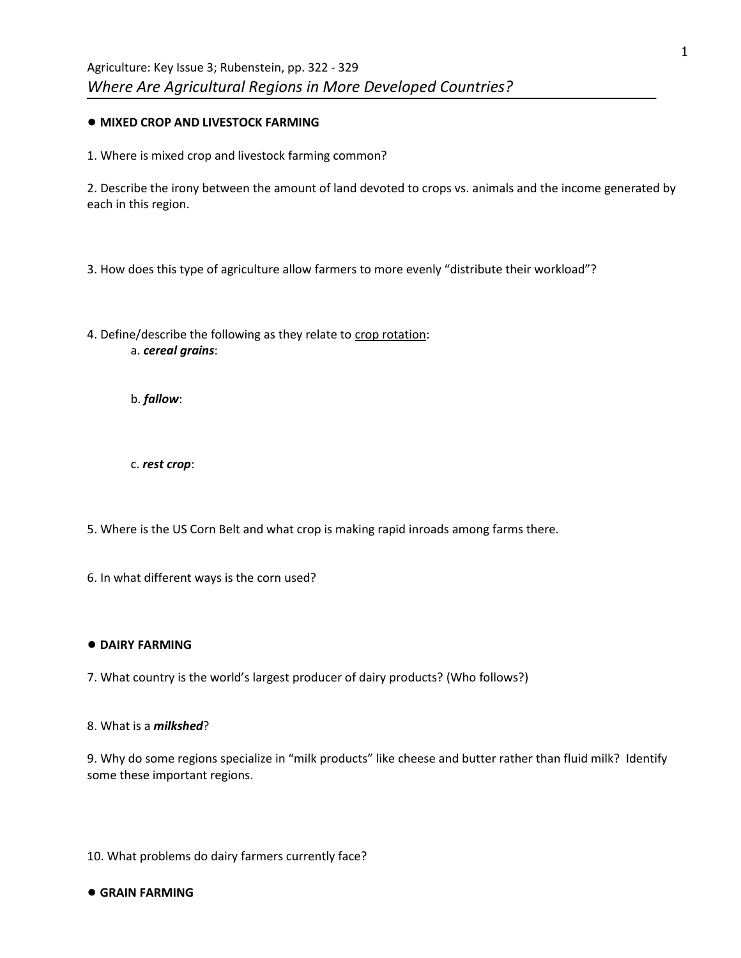# ● **MIXED CROP AND LIVESTOCK FARMING**

1. Where is mixed crop and livestock farming common?

2. Describe the irony between the amount of land devoted to crops vs. animals and the income generated by each in this region.

3. How does this type of agriculture allow farmers to more evenly "distribute their workload"?

4. Define/describe the following as they relate to crop rotation: a. *cereal grains*:

b. *fallow*:

c. *rest crop*:

5. Where is the US Corn Belt and what crop is making rapid inroads among farms there.

6. In what different ways is the corn used?

# ● **DAIRY FARMING**

7. What country is the world's largest producer of dairy products? (Who follows?)

8. What is a *milkshed*?

9. Why do some regions specialize in "milk products" like cheese and butter rather than fluid milk? Identify some these important regions.

10. What problems do dairy farmers currently face?

● **GRAIN FARMING**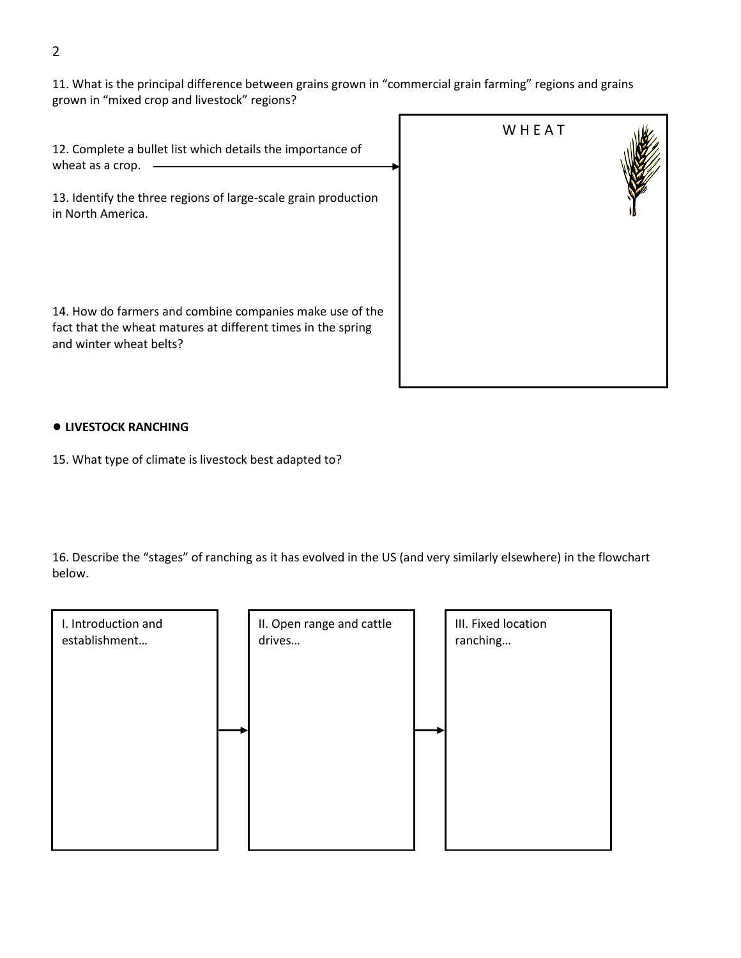11. What is the principal difference between grains grown in "commercial grain farming" regions and grains grown in "mixed crop and livestock" regions?

12. Complete a bullet list which details the importance of wheat as a crop. -

13. Identify the three regions of large-scale grain production in North America.

14. How do farmers and combine companies make use of the fact that the wheat matures at different times in the spring and winter wheat belts?



# ● **LIVESTOCK RANCHING**

15. What type of climate is livestock best adapted to?

16. Describe the "stages" of ranching as it has evolved in the US (and very similarly elsewhere) in the flowchart below.

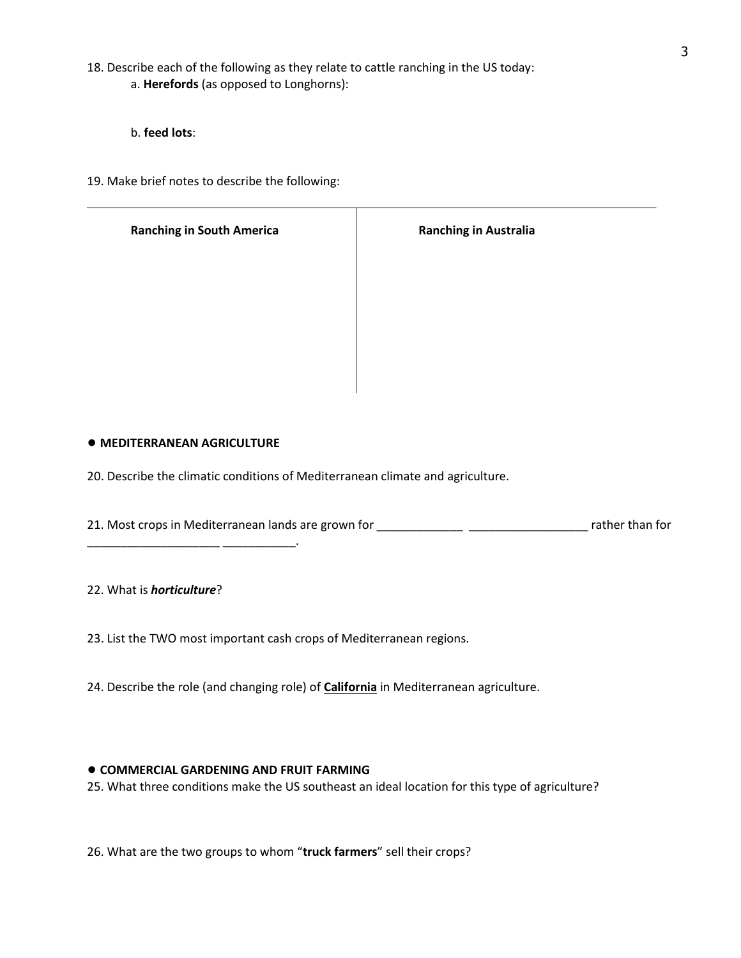18. Describe each of the following as they relate to cattle ranching in the US today: a. **Herefords** (as opposed to Longhorns):

b. **feed lots**:

19. Make brief notes to describe the following:

| <b>Ranching in South America</b> | <b>Ranching in Australia</b> |
|----------------------------------|------------------------------|
|                                  |                              |
|                                  |                              |
|                                  |                              |
|                                  |                              |
|                                  |                              |
|                                  |                              |

T

#### ● **MEDITERRANEAN AGRICULTURE**

\_\_\_\_\_\_\_\_\_\_\_\_\_\_\_\_\_\_\_\_ \_\_\_\_\_\_\_\_\_\_\_.

20. Describe the climatic conditions of Mediterranean climate and agriculture.

21. Most crops in Mediterranean lands are grown for \_\_\_\_\_\_\_\_\_\_\_\_\_ \_\_\_\_\_\_\_\_\_\_\_\_\_\_\_\_\_\_ rather than for

22. What is *horticulture*?

23. List the TWO most important cash crops of Mediterranean regions.

24. Describe the role (and changing role) of **California** in Mediterranean agriculture.

#### ● **COMMERCIAL GARDENING AND FRUIT FARMING**

25. What three conditions make the US southeast an ideal location for this type of agriculture?

26. What are the two groups to whom "**truck farmers**" sell their crops?